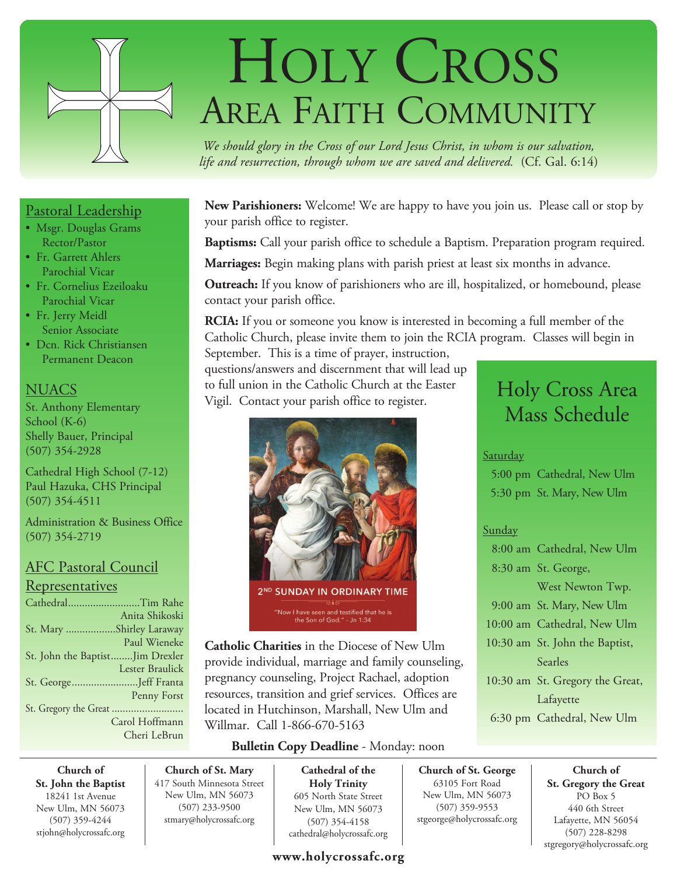

# HOLY CROSS AREA FAITH COMMUNITY

*We should glory in the Cross of our Lord Jesus Christ, in whom is our salvation, life and resurrection, through whom we are saved and delivered.* (Cf. Gal. 6:14)

**New Parishioners:** Welcome! We are happy to have you join us. Please call or stop by your parish office to register.

**Baptisms:** Call your parish office to schedule a Baptism. Preparation program required.

**Marriages:** Begin making plans with parish priest at least six months in advance.

**Outreach:** If you know of parishioners who are ill, hospitalized, or homebound, please contact your parish office.

**RCIA:** If you or someone you know is interested in becoming a full member of the Catholic Church, please invite them to join the RCIA program. Classes will begin in

September. This is a time of prayer, instruction, questions/answers and discernment that will lead up to full union in the Catholic Church at the Easter Vigil. Contact your parish office to register.



**Catholic Charities** in the Diocese of New Ulm provide individual, marriage and family counseling, pregnancy counseling, Project Rachael, adoption resources, transition and grief services. Offices are located in Hutchinson, Marshall, New Ulm and Willmar. Call 1-866-670-5163

# **Bulletin Copy Deadline** - Monday: noon

**Church of St. John the Baptist** 18241 1st Avenue New Ulm, MN 56073 (507) 359-4244 stjohn@holycrossafc.org

**Church of St. Mary** 417 South Minnesota Street New Ulm, MN 56073 (507) 233-9500 stmary@holycrossafc.org

**Cathedral of the Holy Trinity** 605 North State Street New Ulm, MN 56073 (507) 354-4158 cathedral@holycrossafc.org

# **www.holycrossafc.org**

# Holy Cross Area Mass Schedule

# Saturday

 5:00 pm Cathedral, New Ulm 5:30 pm St. Mary, New Ulm

# Sunday

**Church of St. George** 63105 Fort Road New Ulm, MN 56073 (507) 359-9553 stgeorge@holycrossafc.org

 8:00 am Cathedral, New Ulm 8:30 am St. George, West Newton Twp. 9:00 am St. Mary, New Ulm 10:00 am Cathedral, New Ulm 10:30 am St. John the Baptist, Searles 10:30 am St. Gregory the Great, Lafayette 6:30 pm Cathedral, New Ulm

> **Church of St. Gregory the Great**  PO Box 5 440 6th Street Lafayette, MN 56054 (507) 228-8298 stgregory@holycrossafc.org

# Pastoral Leadership

- Msgr. Douglas Grams Rector/Pastor
- Fr. Garrett Ahlers Parochial Vicar
- Fr. Cornelius Ezeiloaku Parochial Vicar
- Fr. Jerry Meidl Senior Associate
- Dcn. Rick Christiansen Permanent Deacon

# **NUACS**

St. Anthony Elementary School (K-6) Shelly Bauer, Principal (507) 354-2928

Cathedral High School (7-12) Paul Hazuka, CHS Principal (507) 354-4511

Administration & Business Office (507) 354-2719

# AFC Pastoral Council **Representatives**

| CathedralTim Rahe               |                 |
|---------------------------------|-----------------|
|                                 | Anita Shikoski  |
| St. Mary Shirley Laraway        |                 |
|                                 | Paul Wieneke    |
| St. John the BaptistJim Drexler |                 |
|                                 | Lester Braulick |
| St. GeorgeJeff Franta           |                 |
|                                 | Penny Forst     |
|                                 |                 |
|                                 | Carol Hoffmann  |
|                                 | Cheri LeBrun    |
|                                 |                 |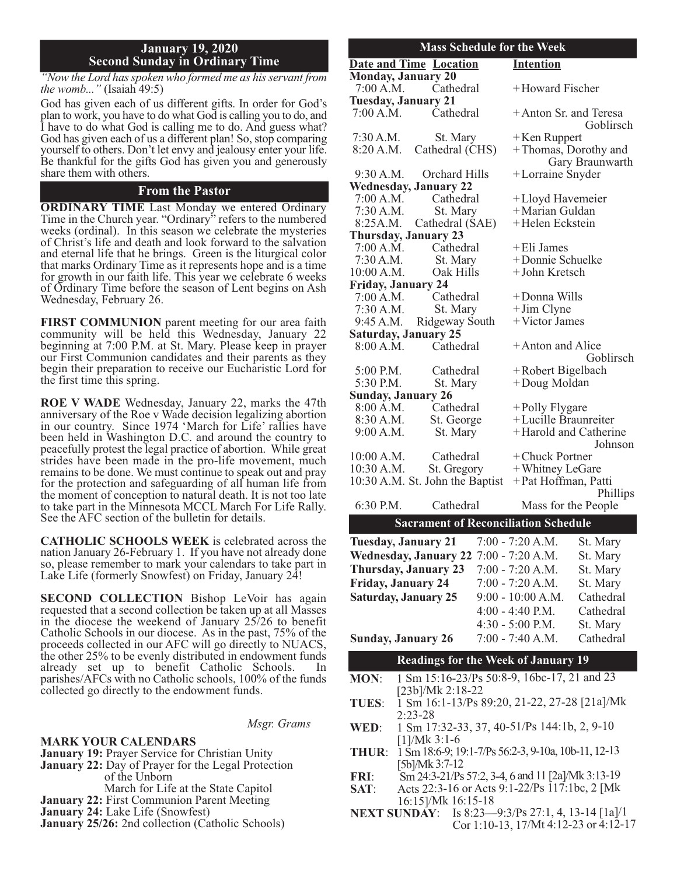# **January 19, 2020 Second Sunday in Ordinary Time**

*"Now the Lord hasspoken who formed me as hisservant from the womb..."* (Isaiah 49:5)

God has given each of us different gifts. In order for God's plan to work, you have to do what God is calling you to do, and I have to do what God is calling me to do. And guess what? God has given each of us a different plan! So, stop comparing yourself to others. Don't let envy and jealousy enter your life. Be thankful for the gifts God has given you and generously share them with others.

# **From the Pastor**

**ORDINARY TIME** Last Monday we entered Ordinary Time in the Church year. "Ordinary" refers to the numbered weeks (ordinal). In this season we celebrate the mysteries of Christ's life and death and look forward to the salvation and eternal life that he brings. Green is the liturgical color that marks Ordinary Time as it represents hope and is a time for growth in our faith life. This year we celebrate 6 weeks of Ordinary Time before the season of Lent begins on Ash Wednesday, February 26.

**FIRST COMMUNION** parent meeting for our area faith community will be held this Wednesday, January 22 beginning at 7:00 P.M. at St. Mary. Please keep in prayer our First Communion candidates and their parents as they begin their preparation to receive our Eucharistic Lord for the first time this spring.

**ROE V WADE** Wednesday, January 22, marks the 47th anniversary of the Roe v Wade decision legalizing abortion in our country. Since 1974 'March for Life' rallies have been held in Washington D.C. and around the country to peacefully protest the legal practice of abortion. While great strides have been made in the pro-life movement, much remains to be done. We must continue to speak out and pray for the protection and safeguarding of all human life from the moment of conception to natural death. It is not too late to take part in the Minnesota MCCL March For Life Rally. See the AFC section of the bulletin for details.

**CATHOLIC SCHOOLS WEEK** is celebrated across the nation January 26-February 1. If you have not already done so, please remember to mark your calendars to take part in Lake Life (formerly Snowfest) on Friday, January 24!

**SECOND COLLECTION** Bishop LeVoir has again requested that a second collection be taken up at all Masses in the diocese the weekend of January 25/26 to benefit Catholic Schools in our diocese. As in the past, 75% of the proceeds collected in our AFC will go directly to NUACS, the other 25% to be evenly distributed in endowment funds already set up to benefit Catholic Schools. In parishes/AFCs with no Catholic schools, 100% of the funds collected go directly to the endowment funds.

*Msgr. Grams*

# **MARK YOUR CALENDARS**

- **January 19:** Prayer Service for Christian Unity
- **January 22:** Day of Prayer for the Legal Protection of the Unborn
	- March for Life at the State Capitol
- **January 22:** First Communion Parent Meeting
- **January 24:** Lake Life (Snowfest)
- **January 25/26:** 2nd collection (Catholic Schools)

# **Mass Schedule for the Week**

|                                             | <b>Date and Time Location</b>             | <b>Intention</b>                           |  |  |  |  |
|---------------------------------------------|-------------------------------------------|--------------------------------------------|--|--|--|--|
| <b>Monday, January 20</b>                   |                                           |                                            |  |  |  |  |
| 7:00 A.M.<br>Cathedral<br>+Howard Fischer   |                                           |                                            |  |  |  |  |
| <b>Tuesday, January 21</b>                  |                                           |                                            |  |  |  |  |
| 7:00 A.M.                                   | Cathedral                                 | + Anton Sr. and Teresa<br>Goblirsch        |  |  |  |  |
| 7:30 A.M.                                   | St. Mary                                  | + Ken Ruppert                              |  |  |  |  |
| 8:20 A.M.                                   | Cathedral (CHS)                           | +Thomas, Dorothy and<br>Gary Braunwarth    |  |  |  |  |
| 9:30 A.M.                                   | Orchard Hills                             | +Lorraine Snyder                           |  |  |  |  |
|                                             | <b>Wednesday, January 22</b>              |                                            |  |  |  |  |
| 7:00 A.M.                                   | Cathedral                                 | +Lloyd Havemeier                           |  |  |  |  |
|                                             | 7:30 A.M. St. Mary                        | +Marian Guldan                             |  |  |  |  |
|                                             | 8:25A.M. Cathedral (SAE)                  | +Helen Eckstein                            |  |  |  |  |
| Thursday, January 23                        |                                           |                                            |  |  |  |  |
| 7:00 A.M.                                   | Cathedral                                 | $+$ Eli James                              |  |  |  |  |
| 7:30 A.M.                                   | St. Mary                                  | + Donnie Schuelke                          |  |  |  |  |
| 10:00 A.M.                                  | Oak Hills                                 | +John Kretsch                              |  |  |  |  |
| <b>Friday, January 24</b>                   |                                           |                                            |  |  |  |  |
|                                             |                                           | +Donna Wills                               |  |  |  |  |
|                                             | 7:00 A.M. Cathedral<br>7:30 A.M. St. Mary | $+$ Jim Clyne                              |  |  |  |  |
|                                             | 9:45 A.M. Ridgeway South                  | +Victor James                              |  |  |  |  |
| Saturday, January 25                        |                                           |                                            |  |  |  |  |
| 8:00 A.M.                                   | Cathedral                                 | + Anton and Alice<br>Goblirsch             |  |  |  |  |
| 5:00 P.M.                                   | Cathedral                                 | +Robert Bigelbach                          |  |  |  |  |
| 5:30 P.M.                                   | St. Mary                                  | +Doug Moldan                               |  |  |  |  |
| <b>Sunday, January 26</b>                   |                                           |                                            |  |  |  |  |
|                                             | 8:00 A.M. Cathedral                       | +Polly Flygare                             |  |  |  |  |
| 8:30 A.M.                                   | St. George                                | $+$ Lucille Braunreiter                    |  |  |  |  |
| 9:00 A.M.                                   | St. Mary                                  | +Harold and Catherine                      |  |  |  |  |
|                                             |                                           | Johnson                                    |  |  |  |  |
| 10:00 A.M.                                  | Cathedral                                 | +Chuck Portner                             |  |  |  |  |
| 10:30 A.M.                                  | St. Gregory                               | + Whitney LeGare                           |  |  |  |  |
|                                             | 10:30 A.M. St. John the Baptist           | +Pat Hoffman, Patti                        |  |  |  |  |
|                                             |                                           | Phillips                                   |  |  |  |  |
| 6:30 P.M.                                   | Cathedral                                 | Mass for the People                        |  |  |  |  |
| <b>Sacrament of Reconciliation Schedule</b> |                                           |                                            |  |  |  |  |
|                                             |                                           |                                            |  |  |  |  |
| <b>Tuesday, January 21</b>                  |                                           | 7:00 - 7:20 A.M.<br>St. Mary               |  |  |  |  |
|                                             | <b>Wednesday, January 22</b>              | $7:00 - 7:20 A.M.$<br>St. Mary             |  |  |  |  |
| Thursday, January 23                        |                                           | 7:00 - 7:20 A.M.<br>St. Mary               |  |  |  |  |
| Friday, January 24                          |                                           | $7:00 - 7:20 A.M.$<br>St. Mary             |  |  |  |  |
| <b>Saturday, January 25</b>                 |                                           | $9:00 - 10:00 A.M.$<br>Cathedral           |  |  |  |  |
|                                             |                                           | Cathedral<br>$4:00 - 4:40$ P.M.            |  |  |  |  |
|                                             |                                           | $4:30 - 5:00$ P.M.<br>St. Mary             |  |  |  |  |
|                                             |                                           | 7:00 - 7:40 A.M.<br>Cathedral              |  |  |  |  |
| <b>Sunday, January 26</b>                   |                                           |                                            |  |  |  |  |
|                                             |                                           | <b>Readings for the Week of January 19</b> |  |  |  |  |

|              | Investment for the $\theta$ very of owntake $\theta$ is |
|--------------|---------------------------------------------------------|
| <b>MON:</b>  | 1 Sm 15:16-23/Ps 50:8-9, 16bc-17, 21 and 23             |
|              | [23b]/Mk 2:18-22                                        |
| TUES:        | 1 Sm 16:1-13/Ps 89:20, 21-22, 27-28 [21a]/Mk            |
|              | $2:23-28$                                               |
| WED:         | 1 Sm 17:32-33, 37, 40-51/Ps 144:1b, 2, 9-10             |
|              | $[1] / Mk$ 3:1-6                                        |
| <b>THUR:</b> | 1 Sm 18:6-9; 19:1-7/Ps 56:2-3, 9-10a, 10b-11, 12-13     |
|              | $[5b] / Mk 3:7-12$                                      |
| <b>FRI:</b>  | Sm 24:3-21/Ps 57:2, 3-4, 6 and 11 [2a]/Mk 3:13-19       |
| SAT:         | Acts 22:3-16 or Acts 9:1-22/Ps 117:1bc, 2 [Mk]          |
|              | 16:15]/Mk 16:15-18                                      |
|              |                                                         |

**NEXT SUNDAY**: Is 8:23—9:3/Ps 27:1, 4, 13-14 [1a]/1 Cor 1:10-13, 17/Mt 4:12-23 or 4:12-17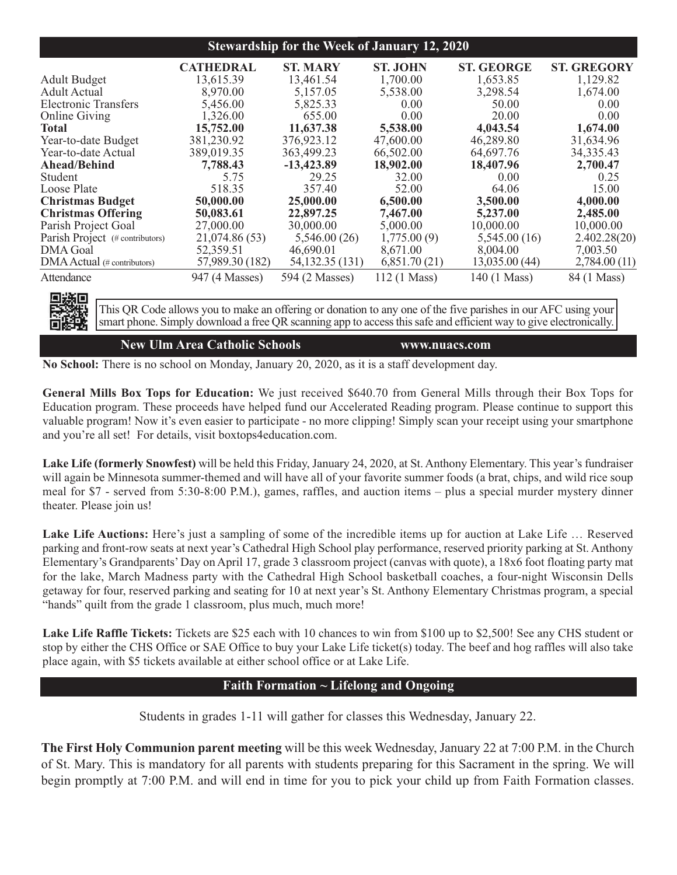| <b>Stewardship for the Week of January 12, 2020</b> |                  |                   |                 |                   |                    |
|-----------------------------------------------------|------------------|-------------------|-----------------|-------------------|--------------------|
|                                                     | <b>CATHEDRAL</b> | <b>ST. MARY</b>   | <b>ST. JOHN</b> | <b>ST. GEORGE</b> | <b>ST. GREGORY</b> |
| <b>Adult Budget</b>                                 | 13,615.39        | 13,461.54         | 1,700.00        | 1,653.85          | 1,129.82           |
| <b>Adult Actual</b>                                 | 8,970.00         | 5,157.05          | 5,538.00        | 3,298.54          | 1,674.00           |
| <b>Electronic Transfers</b>                         | 5,456.00         | 5,825.33          | 0.00            | 50.00             | 0.00               |
| <b>Online Giving</b>                                | 1,326.00         | 655.00            | 0.00            | 20.00             | 0.00               |
| Total                                               | 15,752.00        | 11,637.38         | 5,538.00        | 4,043.54          | 1,674.00           |
| Year-to-date Budget                                 | 381,230.92       | 376,923.12        | 47,600.00       | 46,289.80         | 31,634.96          |
| Year-to-date Actual                                 | 389,019.35       | 363,499.23        | 66,502.00       | 64,697.76         | 34, 335. 43        |
| Ahead/Behind                                        | 7,788.43         | $-13,423.89$      | 18,902.00       | 18,407.96         | 2,700.47           |
| Student                                             | 5.75             | 29.25             | 32.00           | 0.00              | 0.25               |
| Loose Plate                                         | 518.35           | 357.40            | 52.00           | 64.06             | 15.00              |
| <b>Christmas Budget</b>                             | 50,000.00        | 25,000.00         | 6,500.00        | 3,500.00          | 4,000.00           |
| <b>Christmas Offering</b>                           | 50,083.61        | 22,897.25         | 7,467.00        | 5,237.00          | 2,485.00           |
| Parish Project Goal                                 | 27,000.00        | 30,000.00         | 5,000.00        | 10,000.00         | 10,000.00          |
| Parish Project (# contributors)                     | 21,074.86 (53)   | 5,546.00(26)      | 1,775.00(9)     | 5,545.00 (16)     | 2.402.28(20)       |
| <b>DMA</b> Goal                                     | 52,359.51        | 46,690.01         | 8,671.00        | 8,004.00          | 7,003.50           |
| DMA Actual (# contributors)                         | 57,989.30 (182)  | 54, 132. 35 (131) | 6,851.70(21)    | 13,035.00 (44)    | 2,784.00 (11)      |
| Attendance                                          | 947 (4 Masses)   | 594 (2 Masses)    | 112 (1 Mass)    | 140 (1 Mass)      | 84 (1 Mass)        |

This QR Code allows you to make an offering or donation to any one of the five parishes in our AFC using your smart phone. Simply download a free QR scanning app to access this safe and efficient way to give electronically.

# **New Ulm Area Catholic Schools www.nuacs.com**

**No School:** There is no school on Monday, January 20, 2020, as it is a staff development day.

**General Mills Box Tops for Education:** We just received \$640.70 from General Mills through their Box Tops for Education program. These proceeds have helped fund our Accelerated Reading program. Please continue to support this valuable program! Now it's even easier to participate - no more clipping! Simply scan your receipt using your smartphone and you're all set! For details, visit boxtops4education.com.

**Lake Life (formerly Snowfest)** will be held this Friday, January 24, 2020, at St. Anthony Elementary. This year's fundraiser will again be Minnesota summer-themed and will have all of your favorite summer foods (a brat, chips, and wild rice soup meal for \$7 - served from 5:30-8:00 P.M.), games, raffles, and auction items – plus a special murder mystery dinner theater. Please join us!

**Lake Life Auctions:** Here's just a sampling of some of the incredible items up for auction at Lake Life … Reserved parking and front-row seats at next year's Cathedral High School play performance, reserved priority parking at St. Anthony Elementary's Grandparents'Day on April 17, grade 3 classroom project (canvas with quote), a 18x6 foot floating party mat for the lake, March Madness party with the Cathedral High School basketball coaches, a four-night Wisconsin Dells getaway for four, reserved parking and seating for 10 at next year's St. Anthony Elementary Christmas program, a special "hands" quilt from the grade 1 classroom, plus much, much more!

**Lake Life Raffle Tickets:** Tickets are \$25 each with 10 chances to win from \$100 up to \$2,500! See any CHS student or stop by either the CHS Office or SAE Office to buy your Lake Life ticket(s) today. The beef and hog raffles will also take place again, with \$5 tickets available at either school office or at Lake Life.

# **Faith Formation ~ Lifelong and Ongoing**

Students in grades 1-11 will gather for classes this Wednesday, January 22.

**The First Holy Communion parent meeting** will be this week Wednesday, January 22 at 7:00 P.M. in the Church of St. Mary. This is mandatory for all parents with students preparing for this Sacrament in the spring. We will begin promptly at 7:00 P.M. and will end in time for you to pick your child up from Faith Formation classes.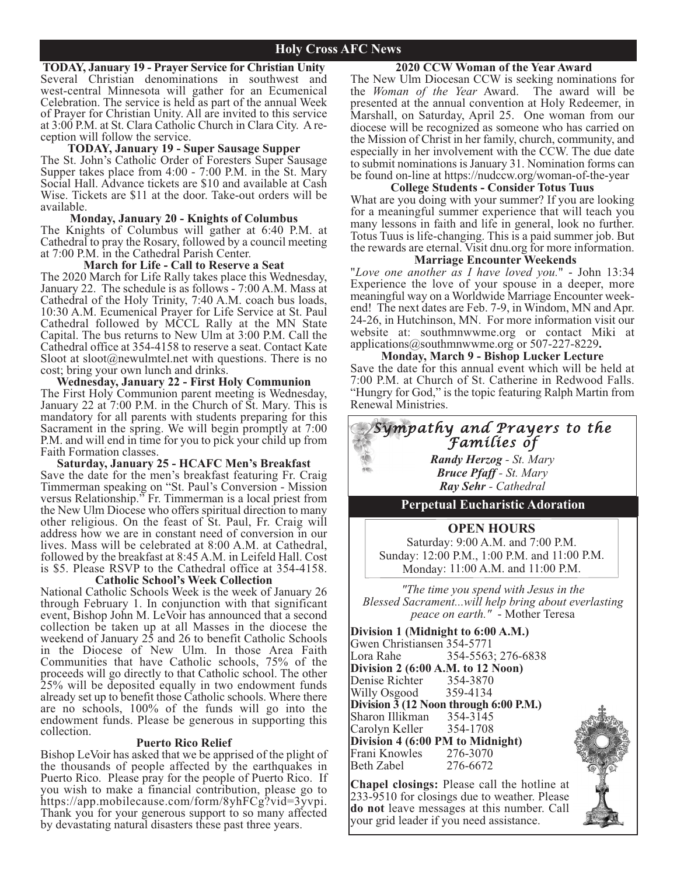**TODAY, January 19 - Prayer Service for Christian Unity** Several Christian denominations in southwest and west-central Minnesota will gather for an Ecumenical Celebration. The service is held as part of the annual Week of Prayer for Christian Unity. All are invited to this service at 3:00 P.M. at St. Clara Catholic Church in Clara City. <sup>A</sup> re- ception will follow the service. **TODAY, January <sup>19</sup> - Super Sausage Supper**

# The St. John's Catholic Order of Foresters Super Sausage Supper takes place from 4:00 - 7:00 P.M. in the St. Mary Social Hall. Advance tickets are \$10 and available at Cash Wise. Tickets are \$11 at the door. Take-out orders will be

available. **Monday, January <sup>20</sup> - Knights of Columbus** The Knights of Columbus will gather at 6:40 P.M. at Cathedral to pray the Rosary, followed by a council meeting at 7:00 P.M. in the Cathedral Parish Center. **March for Life - Call to Reserve <sup>a</sup> Seat**

The <sup>2020</sup> March for Life Rally takes place this Wednesday, January 22. The schedule is as follows - 7:00 A.M. Mass at Cathedral of the Holy Trinity, 7:40 A.M. coach bus loads, 10:30 A.M. Ecumenical Prayer for Life Service at St. Paul Cathedral followed by MCCL Rally at the MN State Capital. The bus returns to New Ulm at 3:00 P.M. Call the Cathedral office at 354-4158 to reserve a seat. Contact Kate Sloot at sloot@newulmtel.net with questions. There is no cost; bring your own lunch and drinks.

cost; bring your own lunch and drinks. **Wednesday, January <sup>22</sup> - First Holy Communion** The First Holy Communion parent meeting is Wednesday, January <sup>22</sup> at 7:00 P.M. in the Church of St. Mary. This is mandatory for all parents with students preparing for this Sacrament in the spring. We will begin promptly at 7:00 P.M. and will end in time for you to pick your child up from

Faith Formation classes. **Saturday, January <sup>25</sup> - HCAFC Men's Breakfast** Save the date for the men's breakfast featuring Fr. Craig Timmerman speaking on "St. Paul's Conversion - Mission versus Relationship." Fr. Timmerman is a local priest from the New Ulm Diocese who offers spiritual direction to many other religious. On the feast of St. Paul, Fr. Craig will address how we are in constant need of conversion in our lives. Mass will be celebrated at 8:00 A.M. at Cathedral, followed by the breakfast at 8:45 A.M. in Leifeld Hall. Cost is \$5. Please RSVP to the Cathedral office at 354-4158. **Catholic School's Week Collection**

National Catholic Schools Week is the week of January 26 through February 1. In conjunction with that significant event, Bishop John M. LeVoir has announced that a second collection be taken up at all Masses in the diocese the weekend of January 25 and 26 to benefit Catholic Schools in the Diocese of New Ulm. In those Area Faith Communities that have Catholic schools, 75% of the proceeds will go directly to that Catholic school. The other 25% will be deposited equally in two endowment funds already set up to benefit those Catholic schools. Where there are no schools, 100% of the funds will go into the endowment funds. Please be generous in supporting this

# **Puerto Rico Relief**

Bishop LeVoir has asked that we be apprised of the plight of the thousands of people affected by the earthquakes in Puerto Rico. Please pray for the people of Puerto Rico. If you wish to make a financial contribution, please go to https://app.mobilecause.com/form/8yhFCg?vid=3yvpi. Thank you for your generous support to so many affected by devastating natural disasters these past three years.

**2020 CCW Woman of the Year Award**

The New Ulm Diocesan CCW is seeking nominations for the *Woman of the Year* Award. The award will be presented at the annual convention at Holy Redeemer, in Marshall, on Saturday, April 25. One woman from our diocese will be recognized as someone who has carried on the Mission of Christ in her family, church, community, and especially in her involvement with the CCW. The due date to submit nominations is January 31. Nomination forms can be found on-line at https://nudccw.org/woman-of-the-year

**College Students - Consider Totus Tuus** What are you doing with your summer? If you are looking for a meaningful summer experience that will teach you many lessons in faith and life in general, look no further.<br>Totus Tuus is life-changing. This is a paid summer job. But<br>the rewards are eternal. Visit dnu.org for more information.

the rewards are eternal. Visit dnu.org for more information. **Marriage Encounter Weekends** "*Love one another as <sup>I</sup> have loved you.*" - John 13:34 Experience the love of your spouse in a deeper, more meaningful way on a Worldwide Marriage Encounter week-<br>end! The next dates are Feb. 7-9, in Windom, MN and Apr.<br>24-26, in Hutchinson, MN. For more information visit our website at: southmnwwme.org or contact Miki at applications@southmnwwme.org or 507-227-8229**. Monday, March <sup>9</sup> - Bishop Lucker Lecture**

Save the date for this annual event which will be held at 7:00 P.M. at Church of St. Catherine in Redwood Falls. "Hungry for God," is the topic featuring Ralph Martin from Renewal Ministries.



*"The time you spend with Jesus in the Blessed Sacrament...will help bring about everlasting peace on earth."* - Mother Teresa

**Division 1 (Midnight to 6:00 A.M.)**

Gwen Christiansen 354-5771 Lora Rahe 354-5563; 276-6838 **Division 2 (6:00 A.M. to 12 Noon)** Denise Richter Willy Osgood 359-4134 **Division 3 (12 Noon through 6:00 P.M.)** Sharon Illikman 354-3145<br>Carolyn Keller 354-1708 Carolyn Keller **Division 4 (6:00 PM to Midnight)** Frani Knowles 276-3070<br>Beth Zabel 276-6672 Beth Zabel

**Chapel closings:** Please call the hotline at 233-9510 for closings due to weather. Please **do not** leave messages at this number. Call your grid leader if you need assistance.

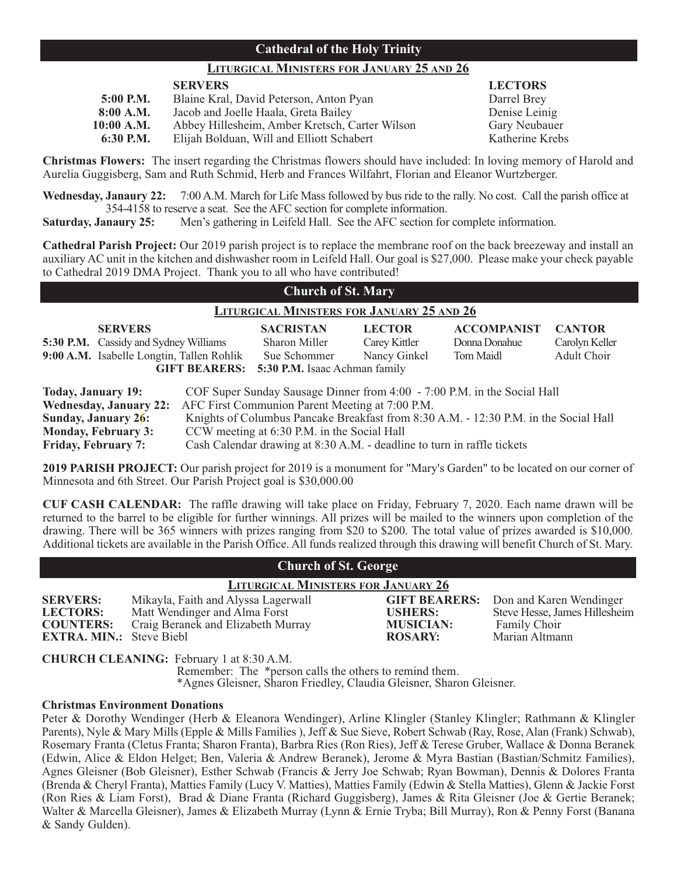# **Cathedral of the Holy Trinity**

# **LITURGICAL MINISTERS FOR JANUARY 25 AND 26**

## **SERVERS LECTORS**

| 5:00 P.M.  | Blaine Kral, David Peterson, Anton Pyan        |
|------------|------------------------------------------------|
| 8:00 A.M.  | Jacob and Joelle Haala, Greta Bailey           |
| 10:00 A.M. | Abbey Hillesheim, Amber Kretsch, Carter Wilson |
| 6:30 P.M.  | Elijah Bolduan, Will and Elliott Schabert      |

**Darrel Brey Denise Leinig Gary Neubauer Katherine Krebs** 

**Christmas Flowers:** The insert regarding the Christmas flowers should have included: In loving memory of Harold and Aurelia Guggisberg, Sam and Ruth Schmid, Herb and Frances Wilfahrt, Florian and Eleanor Wurtzberger.

**Wednesday, Janaury 22:** 7:00 A.M. March for Life Mass followed by bus ride to the rally. No cost. Call the parish office at 354-4158 to reserve a seat. See the AFC section for complete information.<br>Saturday, Janaury 25: Men's gathering in Leifeld Hall. See the AFC section for

Men's gathering in Leifeld Hall. See the AFC section for complete information.

**Cathedral Parish Project:** Our 2019 parish project is to replace the membrane roof on the back breezeway and install an auxiliary AC unit in the kitchen and dishwasher room in Leifeld Hall. Our goal is \$27,000. Please make your check payable to Cathedral 2019 DMA Project. Thank you to all who have contributed!

# **Church of St. Mary**

| <b>LITURGICAL MINISTERS FOR JANUARY 25 AND 26</b>                                                           |                                                                         |                  |               |                    |                |
|-------------------------------------------------------------------------------------------------------------|-------------------------------------------------------------------------|------------------|---------------|--------------------|----------------|
| <b>SERVERS</b>                                                                                              |                                                                         | <b>SACRISTAN</b> | <b>LECTOR</b> | <b>ACCOMPANIST</b> | <b>CANTOR</b>  |
| 5:30 P.M. Cassidy and Sydney Williams                                                                       |                                                                         | Sharon Miller    | Carey Kittler | Donna Donahue      | Carolyn Keller |
| 9:00 A.M. Isabelle Longtin, Tallen Rohlik                                                                   |                                                                         | Sue Schommer     | Nancy Ginkel  | Tom Maidl          | Adult Choir    |
| 5:30 P.M. Isaac Achman family<br><b>GIFT BEARERS:</b>                                                       |                                                                         |                  |               |                    |                |
| COF Super Sunday Sausage Dinner from 4:00 - 7:00 P.M. in the Social Hall<br><b>Today, January 19:</b>       |                                                                         |                  |               |                    |                |
| <b>Wednesday, January 22:</b><br>AFC First Communion Parent Meeting at 7:00 P.M.                            |                                                                         |                  |               |                    |                |
| Sunday, January 26:<br>Knights of Columbus Pancake Breakfast from 8:30 A.M. - 12:30 P.M. in the Social Hall |                                                                         |                  |               |                    |                |
| <b>Monday, February 3:</b>                                                                                  | CCW meeting at 6:30 P.M. in the Social Hall                             |                  |               |                    |                |
| Friday, February 7:                                                                                         | Cash Calendar drawing at 8:30 A.M. - deadline to turn in raffle tickets |                  |               |                    |                |

**2019 PARISH PROJECT:** Our parish project for 2019 is a monument for "Mary's Garden" to be located on our corner of Minnesota and 6th Street. Our Parish Project goal is \$30,000.00

**CUF CASH CALENDAR:** The raffle drawing will take place on Friday, February 7, 2020. Each name drawn will be returned to the barrel to be eligible for further winnings. All prizes will be mailed to the winners upon completion of the drawing. There will be 365 winners with prizes ranging from \$20 to \$200. The total value of prizes awarded is \$10,000. Additional tickets are available in the Parish Office. All funds realized through this drawing will benefit Church of St. Mary.

| <b>Church of St. George</b>                                                               |                                                                                                            |                                                      |                                                                                                                 |  |
|-------------------------------------------------------------------------------------------|------------------------------------------------------------------------------------------------------------|------------------------------------------------------|-----------------------------------------------------------------------------------------------------------------|--|
| <b>LITURGICAL MINISTERS FOR JANUARY 26</b>                                                |                                                                                                            |                                                      |                                                                                                                 |  |
| <b>SERVERS:</b><br><b>LECTORS:</b><br><b>COUNTERS:</b><br><b>EXTRA. MIN.:</b> Steve Biebl | Mikayla, Faith and Alyssa Lagerwall<br>Matt Wendinger and Alma Forst<br>Craig Beranek and Elizabeth Murray | <b>USHERS:</b><br><b>MUSICIAN:</b><br><b>ROSARY:</b> | <b>GIFT BEARERS:</b> Don and Karen Wendinger<br>Steve Hesse, James Hillesheim<br>Family Choir<br>Marian Altmann |  |

**CHURCH CLEANING:** February 1 at 8:30 A.M.<br>Remember: The \*person calls the others to remind them. \*Agnes Gleisner, Sharon Friedley, Claudia Gleisner, Sharon Gleisner.

# **Christmas Environment Donations**

Peter & Dorothy Wendinger (Herb & Eleanora Wendinger), Arline Klingler (Stanley Klingler; Rathmann & Klingler Parents), Nyle & Mary Mills (Epple & Mills Families ), Jeff & Sue Sieve, Robert Schwab (Ray, Rose, Alan (Frank) Schwab), Rosemary Franta (Cletus Franta; Sharon Franta), Barbra Ries (Ron Ries), Jeff & Terese Gruber, Wallace & Donna Beranek (Edwin, Alice & Eldon Helget; Ben, Valeria & Andrew Beranek), Jerome & Myra Bastian (Bastian/Schmitz Families), Agnes Gleisner (Bob Gleisner), Esther Schwab (Francis & Jerry Joe Schwab; Ryan Bowman), Dennis & Dolores Franta (Brenda & Cheryl Franta), Matties Family (Lucy V. Matties), Matties Family (Edwin & Stella Matties), Glenn & Jackie Forst (Ron Ries & Liam Forst), Brad & Diane Franta (Richard Guggisberg), James & Rita Gleisner (Joe & Gertie Beranek; Walter & Marcella Gleisner), James & Elizabeth Murray (Lynn & Ernie Tryba; Bill Murray), Ron & Penny Forst (Banana & Sandy Gulden).